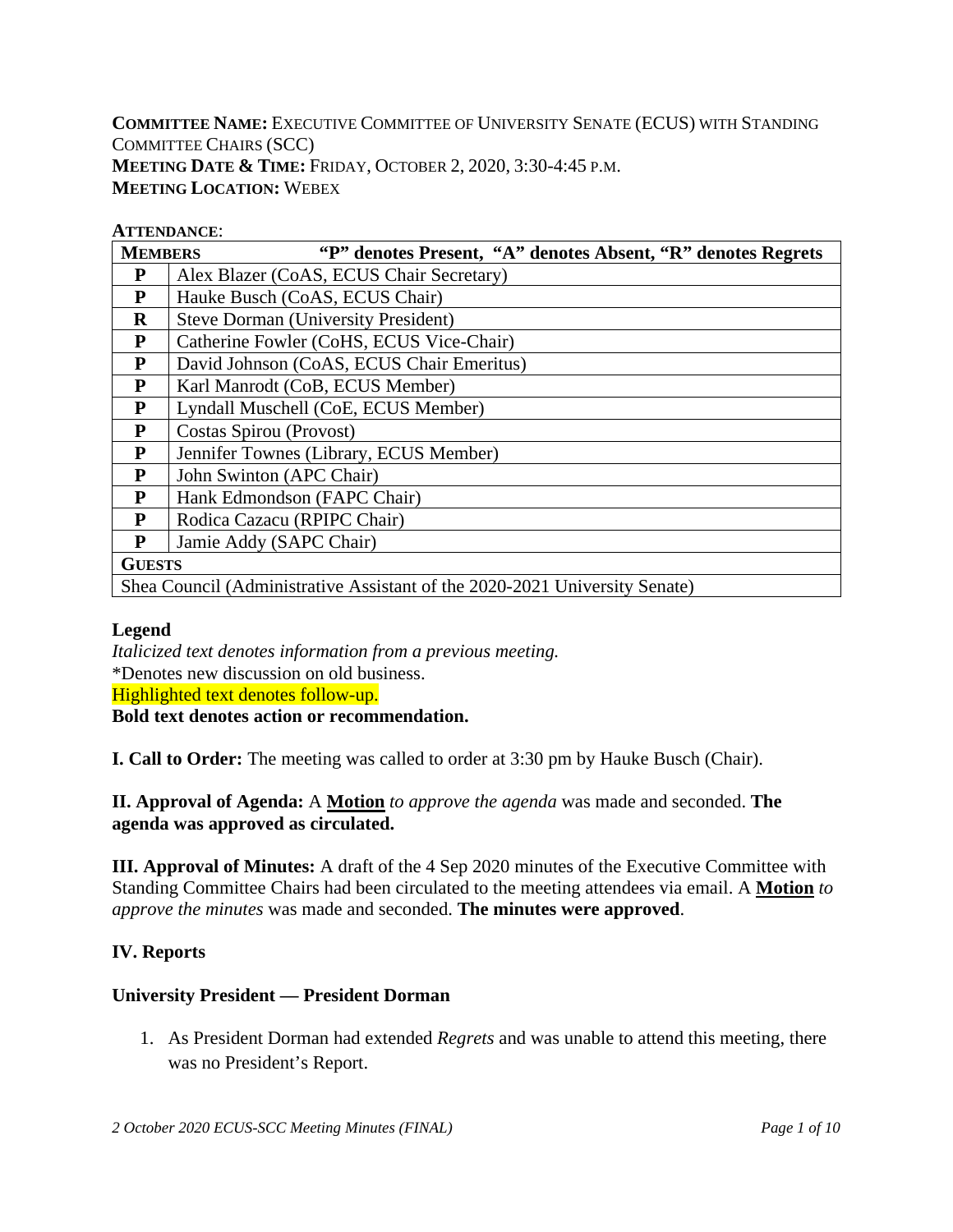**COMMITTEE NAME:** EXECUTIVE COMMITTEE OF UNIVERSITY SENATE (ECUS) WITH STANDING COMMITTEE CHAIRS (SCC) **MEETING DATE & TIME:** FRIDAY, OCTOBER 2, 2020, 3:30-4:45 P.M. **MEETING LOCATION:** WEBEX

#### **ATTENDANCE**:

| <b>MEMBERS</b> | "P" denotes Present, "A" denotes Absent, "R" denotes Regrets               |  |  |  |  |  |  |  |
|----------------|----------------------------------------------------------------------------|--|--|--|--|--|--|--|
| P              | Alex Blazer (CoAS, ECUS Chair Secretary)                                   |  |  |  |  |  |  |  |
| $\mathbf P$    | Hauke Busch (CoAS, ECUS Chair)                                             |  |  |  |  |  |  |  |
| $\bf{R}$       | <b>Steve Dorman (University President)</b>                                 |  |  |  |  |  |  |  |
| P              | Catherine Fowler (CoHS, ECUS Vice-Chair)                                   |  |  |  |  |  |  |  |
| P              | David Johnson (CoAS, ECUS Chair Emeritus)                                  |  |  |  |  |  |  |  |
| P              | Karl Manrodt (CoB, ECUS Member)                                            |  |  |  |  |  |  |  |
| $\mathbf P$    | Lyndall Muschell (CoE, ECUS Member)                                        |  |  |  |  |  |  |  |
| P              | Costas Spirou (Provost)                                                    |  |  |  |  |  |  |  |
| P              | Jennifer Townes (Library, ECUS Member)                                     |  |  |  |  |  |  |  |
| P              | John Swinton (APC Chair)                                                   |  |  |  |  |  |  |  |
| P              | Hank Edmondson (FAPC Chair)                                                |  |  |  |  |  |  |  |
| P              | Rodica Cazacu (RPIPC Chair)                                                |  |  |  |  |  |  |  |
| P              | Jamie Addy (SAPC Chair)                                                    |  |  |  |  |  |  |  |
| <b>GUESTS</b>  |                                                                            |  |  |  |  |  |  |  |
|                | Shea Council (Administrative Assistant of the 2020-2021 University Senate) |  |  |  |  |  |  |  |

#### **Legend**

*Italicized text denotes information from a previous meeting.* \*Denotes new discussion on old business. Highlighted text denotes follow-up. **Bold text denotes action or recommendation.**

**I. Call to Order:** The meeting was called to order at 3:30 pm by Hauke Busch (Chair).

**II. Approval of Agenda:** A **Motion** *to approve the agenda* was made and seconded. **The agenda was approved as circulated.**

**III. Approval of Minutes:** A draft of the 4 Sep 2020 minutes of the Executive Committee with Standing Committee Chairs had been circulated to the meeting attendees via email. A **Motion** *to approve the minutes* was made and seconded. **The minutes were approved**.

#### **IV. Reports**

#### **University President — President Dorman**

1. As President Dorman had extended *Regrets* and was unable to attend this meeting, there was no President's Report.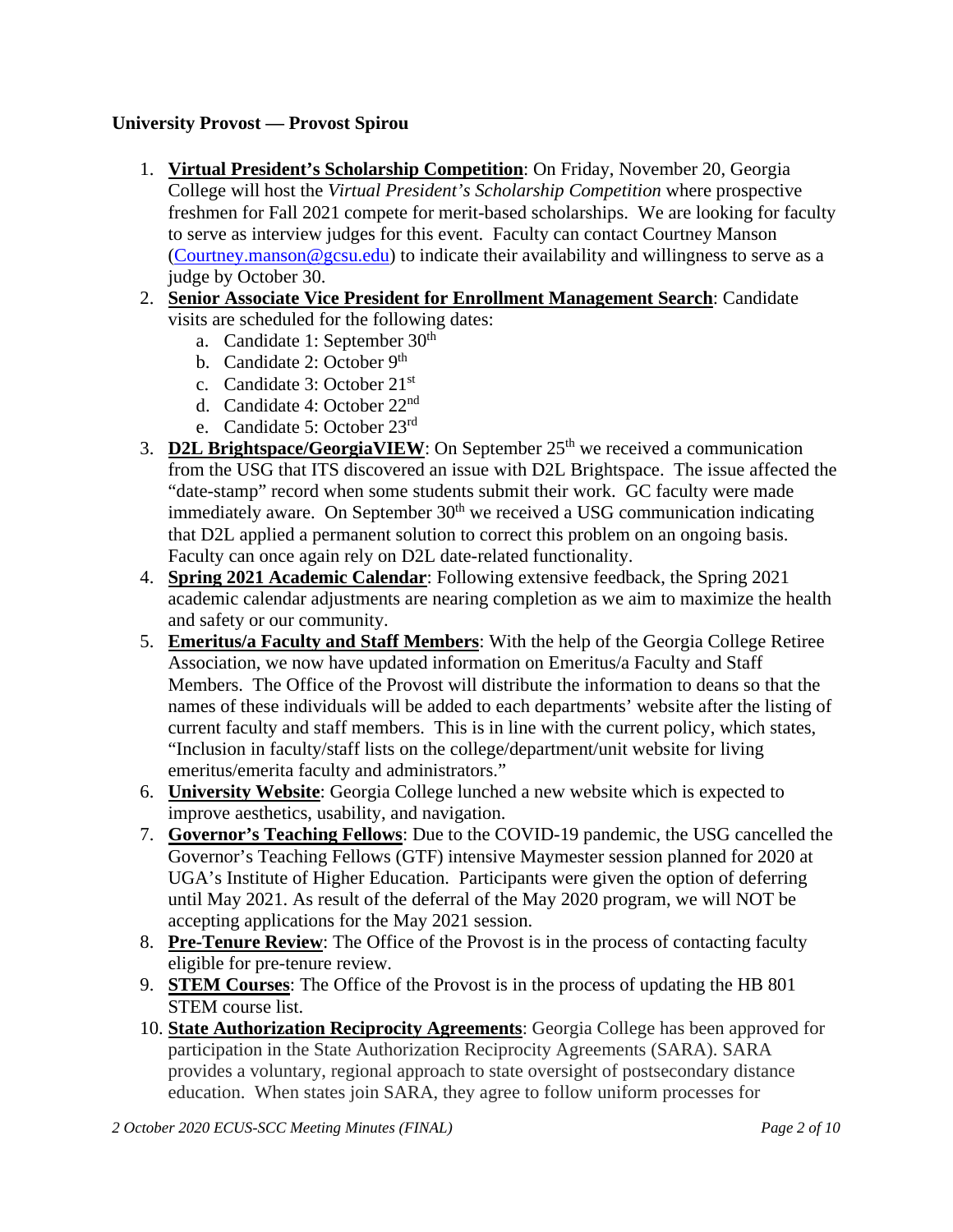## **University Provost — Provost Spirou**

- 1. **Virtual President's Scholarship Competition**: On Friday, November 20, Georgia College will host the *Virtual President's Scholarship Competition* where prospective freshmen for Fall 2021 compete for merit-based scholarships. We are looking for faculty to serve as interview judges for this event. Faculty can contact Courtney Manson [\(Courtney.manson@gcsu.edu\)](mailto:Courtney.manson@gcsu.edu) to indicate their availability and willingness to serve as a judge by October 30.
- 2. **Senior Associate Vice President for Enrollment Management Search**: Candidate visits are scheduled for the following dates:
	- a. Candidate 1: September 30<sup>th</sup>
	- b. Candidate 2: October 9<sup>th</sup>
	- c. Candidate 3: October 21st
	- d. Candidate 4: October 22nd
	- e. Candidate 5: October 23rd
- 3. **D2L Brightspace/GeorgiaVIEW**: On September 25<sup>th</sup> we received a communication from the USG that ITS discovered an issue with D2L Brightspace. The issue affected the "date-stamp" record when some students submit their work. GC faculty were made immediately aware. On September  $30<sup>th</sup>$  we received a USG communication indicating that D2L applied a permanent solution to correct this problem on an ongoing basis. Faculty can once again rely on D2L date-related functionality.
- 4. **Spring 2021 Academic Calendar**: Following extensive feedback, the Spring 2021 academic calendar adjustments are nearing completion as we aim to maximize the health and safety or our community.
- 5. **Emeritus/a Faculty and Staff Members**: With the help of the Georgia College Retiree Association, we now have updated information on Emeritus/a Faculty and Staff Members. The Office of the Provost will distribute the information to deans so that the names of these individuals will be added to each departments' website after the listing of current faculty and staff members. This is in line with the current policy, which states, "Inclusion in faculty/staff lists on the college/department/unit website for living emeritus/emerita faculty and administrators."
- 6. **University Website**: Georgia College lunched a new website which is expected to improve aesthetics, usability, and navigation.
- 7. **Governor's Teaching Fellows**: Due to the COVID-19 pandemic, the USG cancelled the Governor's Teaching Fellows (GTF) intensive Maymester session planned for 2020 at UGA's Institute of Higher Education. Participants were given the option of deferring until May 2021. As result of the deferral of the May 2020 program, we will NOT be accepting applications for the May 2021 session.
- 8. **Pre-Tenure Review**: The Office of the Provost is in the process of contacting faculty eligible for pre-tenure review.
- 9. **STEM Courses**: The Office of the Provost is in the process of updating the HB 801 STEM course list.
- 10. **State Authorization Reciprocity Agreements**: Georgia College has been approved for participation in the State Authorization Reciprocity Agreements (SARA). SARA provides a voluntary, regional approach to state oversight of postsecondary distance education. When states join SARA, they agree to follow uniform processes for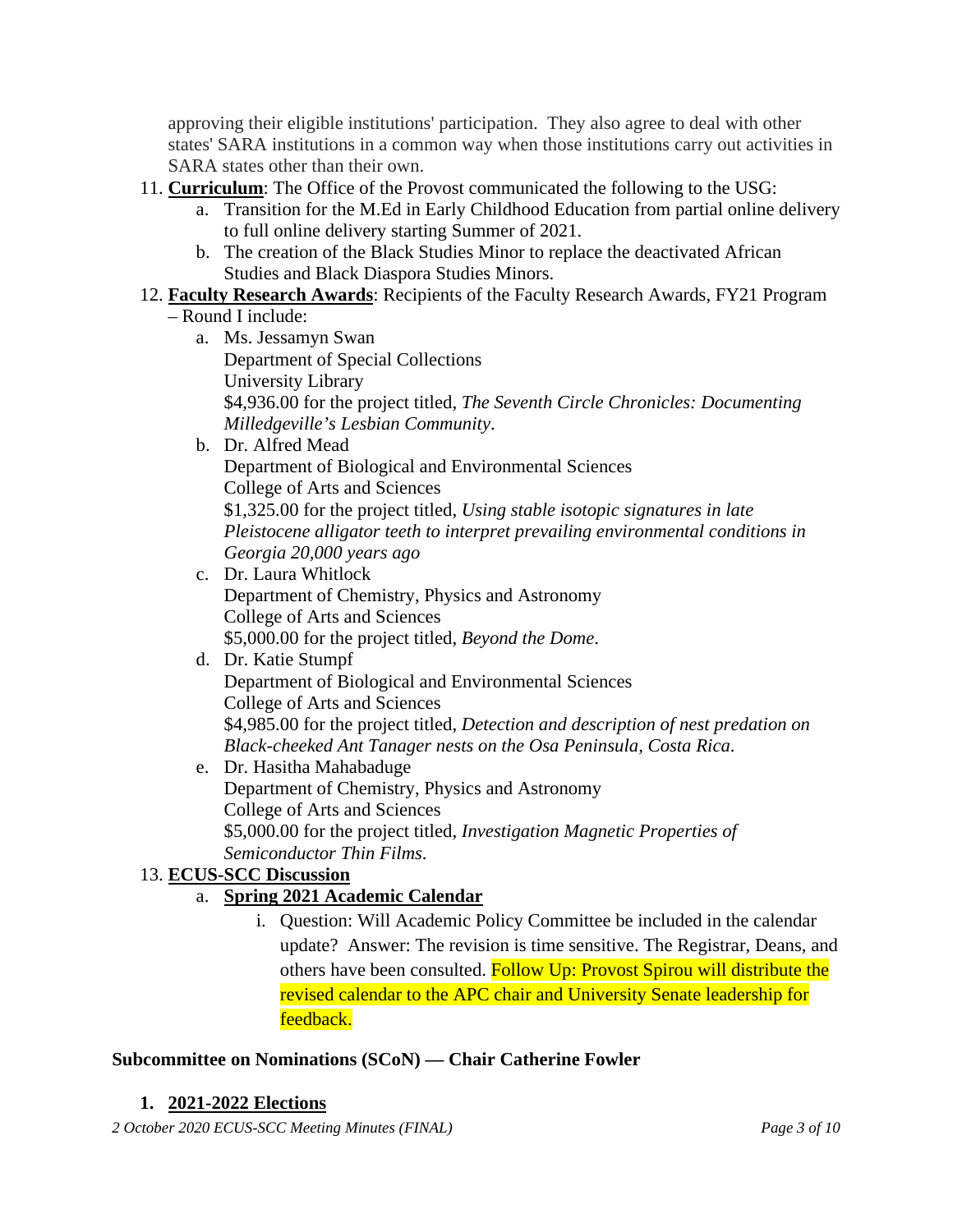approving their eligible institutions' participation. They also agree to deal with other states' SARA institutions in a common way when those institutions carry out activities in SARA states other than their own.

- 11. **Curriculum**: The Office of the Provost communicated the following to the USG:
	- a. Transition for the M.Ed in Early Childhood Education from partial online delivery to full online delivery starting Summer of 2021.
	- b. The creation of the Black Studies Minor to replace the deactivated African Studies and Black Diaspora Studies Minors.

# 12. **Faculty Research Awards**: Recipients of the Faculty Research Awards, FY21 Program

## – Round I include:

- a. Ms. Jessamyn Swan Department of Special Collections University Library \$4,936.00 for the project titled, *The Seventh Circle Chronicles: Documenting Milledgeville's Lesbian Community*.
- b. Dr. Alfred Mead

Department of Biological and Environmental Sciences College of Arts and Sciences \$1,325.00 for the project titled, *Using stable isotopic signatures in late Pleistocene alligator teeth to interpret prevailing environmental conditions in Georgia 20,000 years ago*

- c. Dr. Laura Whitlock Department of Chemistry, Physics and Astronomy College of Arts and Sciences \$5,000.00 for the project titled, *Beyond the Dome*.
- d. Dr. Katie Stumpf Department of Biological and Environmental Sciences College of Arts and Sciences \$4,985.00 for the project titled, *Detection and description of nest predation on Black-cheeked Ant Tanager nests on the Osa Peninsula, Costa Rica*.
- e. Dr. Hasitha Mahabaduge Department of Chemistry, Physics and Astronomy College of Arts and Sciences \$5,000.00 for the project titled, *Investigation Magnetic Properties of Semiconductor Thin Films*.

# 13. **ECUS-SCC Discussion**

## a. **Spring 2021 Academic Calendar**

i. Question: Will Academic Policy Committee be included in the calendar update? Answer: The revision is time sensitive. The Registrar, Deans, and others have been consulted. Follow Up: Provost Spirou will distribute the revised calendar to the APC chair and University Senate leadership for feedback.

## **Subcommittee on Nominations (SCoN) — Chair Catherine Fowler**

## **1. 2021-2022 Elections**

*2 October 2020 ECUS-SCC Meeting Minutes (FINAL) Page 3 of 10*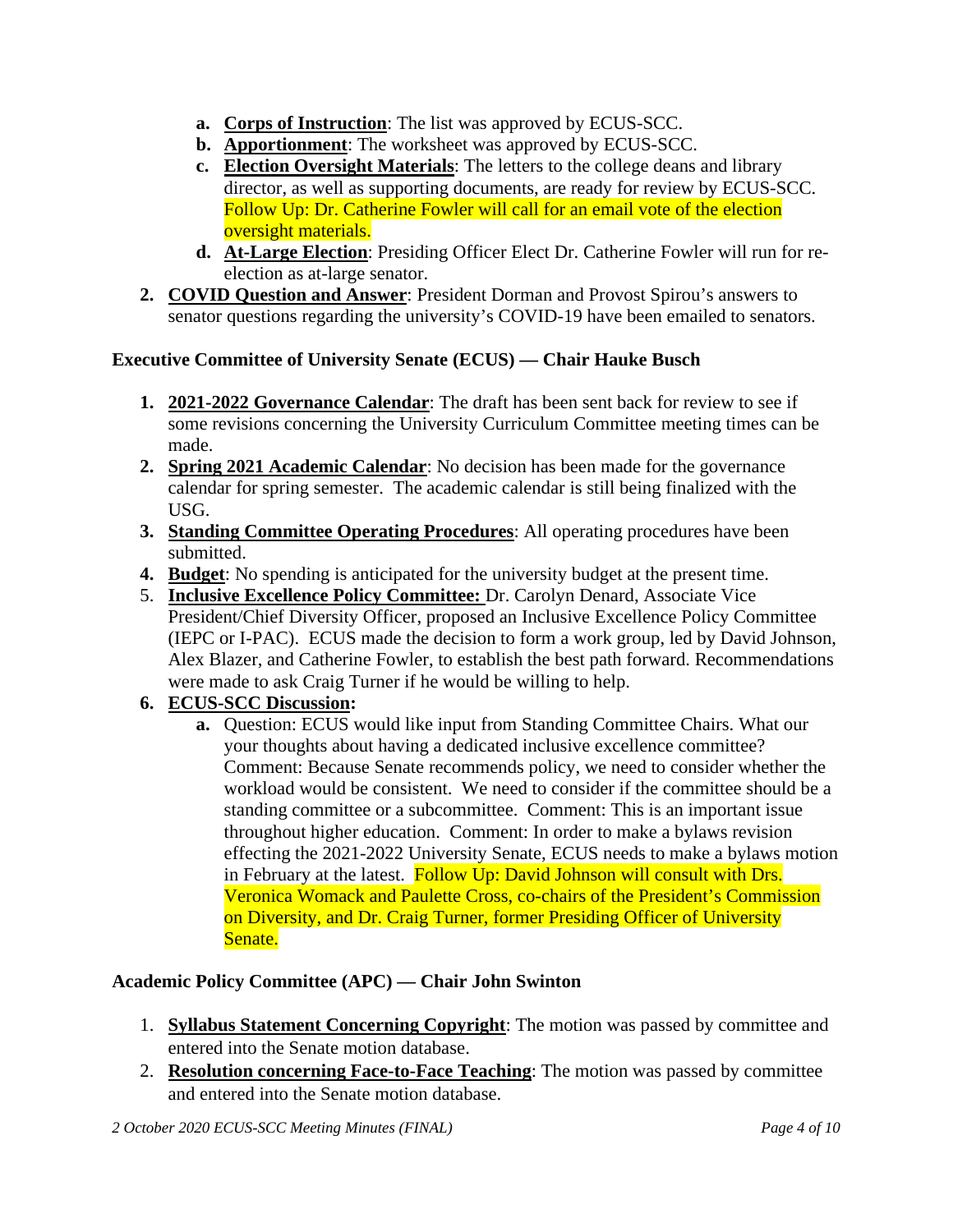- **a. Corps of Instruction**: The list was approved by ECUS-SCC.
- **b. Apportionment**: The worksheet was approved by ECUS-SCC.
- **c. Election Oversight Materials**: The letters to the college deans and library director, as well as supporting documents, are ready for review by ECUS-SCC. Follow Up: Dr. Catherine Fowler will call for an email vote of the election oversight materials.
- **d. At-Large Election**: Presiding Officer Elect Dr. Catherine Fowler will run for reelection as at-large senator.
- **2. COVID Question and Answer**: President Dorman and Provost Spirou's answers to senator questions regarding the university's COVID-19 have been emailed to senators.

# **Executive Committee of University Senate (ECUS) — Chair Hauke Busch**

- **1. 2021-2022 Governance Calendar**: The draft has been sent back for review to see if some revisions concerning the University Curriculum Committee meeting times can be made.
- **2. Spring 2021 Academic Calendar**: No decision has been made for the governance calendar for spring semester. The academic calendar is still being finalized with the USG.
- **3. Standing Committee Operating Procedures**: All operating procedures have been submitted.
- **4. Budget**: No spending is anticipated for the university budget at the present time.
- 5. **Inclusive Excellence Policy Committee:** Dr. Carolyn Denard, Associate Vice President/Chief Diversity Officer, proposed an Inclusive Excellence Policy Committee (IEPC or I-PAC). ECUS made the decision to form a work group, led by David Johnson, Alex Blazer, and Catherine Fowler, to establish the best path forward. Recommendations were made to ask Craig Turner if he would be willing to help.

# **6. ECUS-SCC Discussion:**

**a.** Question: ECUS would like input from Standing Committee Chairs. What our your thoughts about having a dedicated inclusive excellence committee? Comment: Because Senate recommends policy, we need to consider whether the workload would be consistent. We need to consider if the committee should be a standing committee or a subcommittee. Comment: This is an important issue throughout higher education. Comment: In order to make a bylaws revision effecting the 2021-2022 University Senate, ECUS needs to make a bylaws motion in February at the latest. Follow Up: David Johnson will consult with Drs. Veronica Womack and Paulette Cross, co-chairs of the President's Commission on Diversity, and Dr. Craig Turner, former Presiding Officer of University Senate.

# **Academic Policy Committee (APC) — Chair John Swinton**

- 1. **Syllabus Statement Concerning Copyright**: The motion was passed by committee and entered into the Senate motion database.
- 2. **Resolution concerning Face-to-Face Teaching**: The motion was passed by committee and entered into the Senate motion database.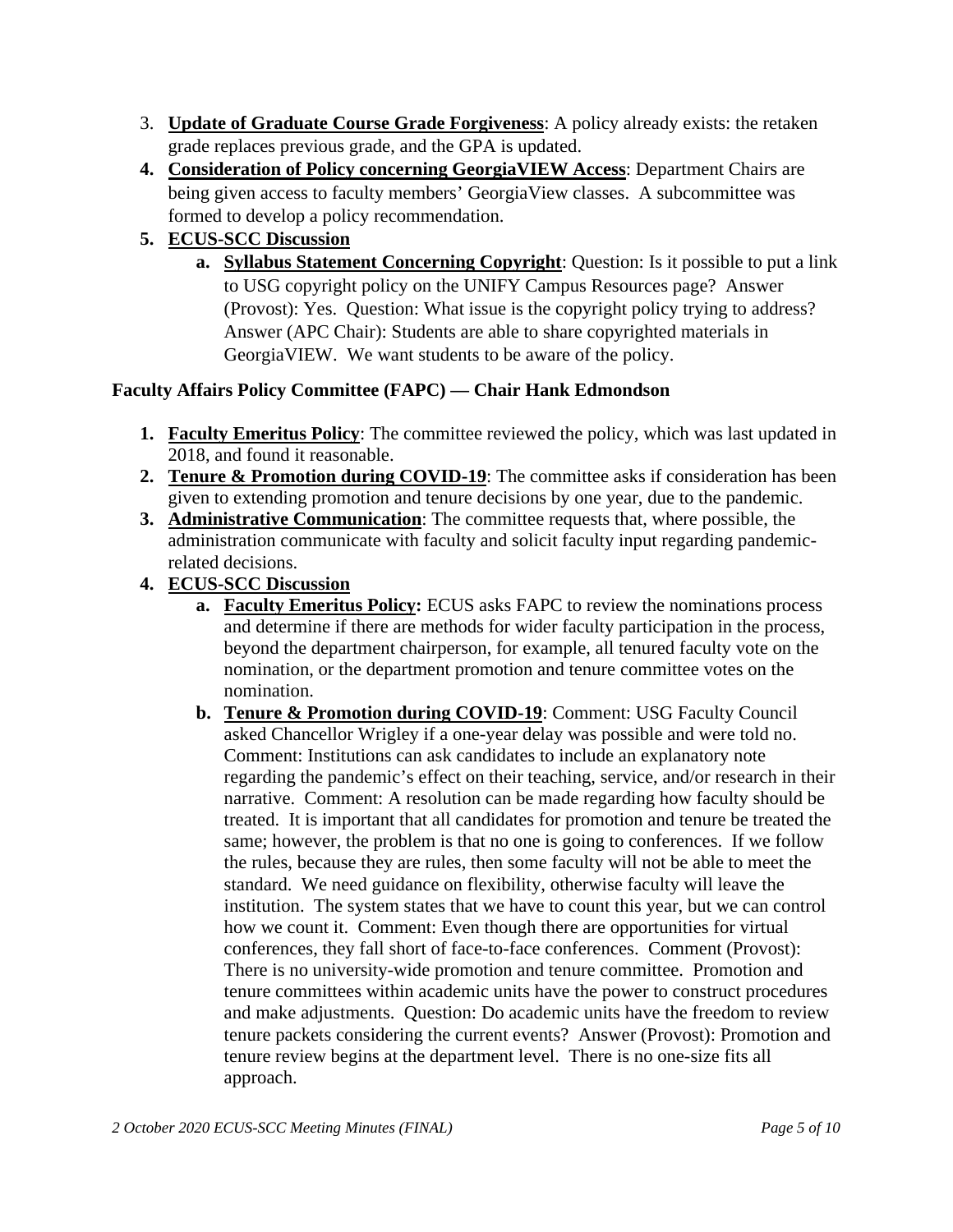- 3. **Update of Graduate Course Grade Forgiveness**: A policy already exists: the retaken grade replaces previous grade, and the GPA is updated.
- **4. Consideration of Policy concerning GeorgiaVIEW Access**: Department Chairs are being given access to faculty members' GeorgiaView classes. A subcommittee was formed to develop a policy recommendation.
- **5. ECUS-SCC Discussion**
	- **a. Syllabus Statement Concerning Copyright**: Question: Is it possible to put a link to USG copyright policy on the UNIFY Campus Resources page? Answer (Provost): Yes. Question: What issue is the copyright policy trying to address? Answer (APC Chair): Students are able to share copyrighted materials in GeorgiaVIEW. We want students to be aware of the policy.

## **Faculty Affairs Policy Committee (FAPC) — Chair Hank Edmondson**

- **1. Faculty Emeritus Policy**: The committee reviewed the policy, which was last updated in 2018, and found it reasonable.
- **2. Tenure & Promotion during COVID-19**: The committee asks if consideration has been given to extending promotion and tenure decisions by one year, due to the pandemic.
- **3. Administrative Communication**: The committee requests that, where possible, the administration communicate with faculty and solicit faculty input regarding pandemicrelated decisions.
- **4. ECUS-SCC Discussion**
	- **a. Faculty Emeritus Policy:** ECUS asks FAPC to review the nominations process and determine if there are methods for wider faculty participation in the process, beyond the department chairperson, for example, all tenured faculty vote on the nomination, or the department promotion and tenure committee votes on the nomination.
	- **b. Tenure & Promotion during COVID-19**: Comment: USG Faculty Council asked Chancellor Wrigley if a one-year delay was possible and were told no. Comment: Institutions can ask candidates to include an explanatory note regarding the pandemic's effect on their teaching, service, and/or research in their narrative. Comment: A resolution can be made regarding how faculty should be treated. It is important that all candidates for promotion and tenure be treated the same; however, the problem is that no one is going to conferences. If we follow the rules, because they are rules, then some faculty will not be able to meet the standard. We need guidance on flexibility, otherwise faculty will leave the institution. The system states that we have to count this year, but we can control how we count it. Comment: Even though there are opportunities for virtual conferences, they fall short of face-to-face conferences. Comment (Provost): There is no university-wide promotion and tenure committee. Promotion and tenure committees within academic units have the power to construct procedures and make adjustments. Question: Do academic units have the freedom to review tenure packets considering the current events? Answer (Provost): Promotion and tenure review begins at the department level. There is no one-size fits all approach.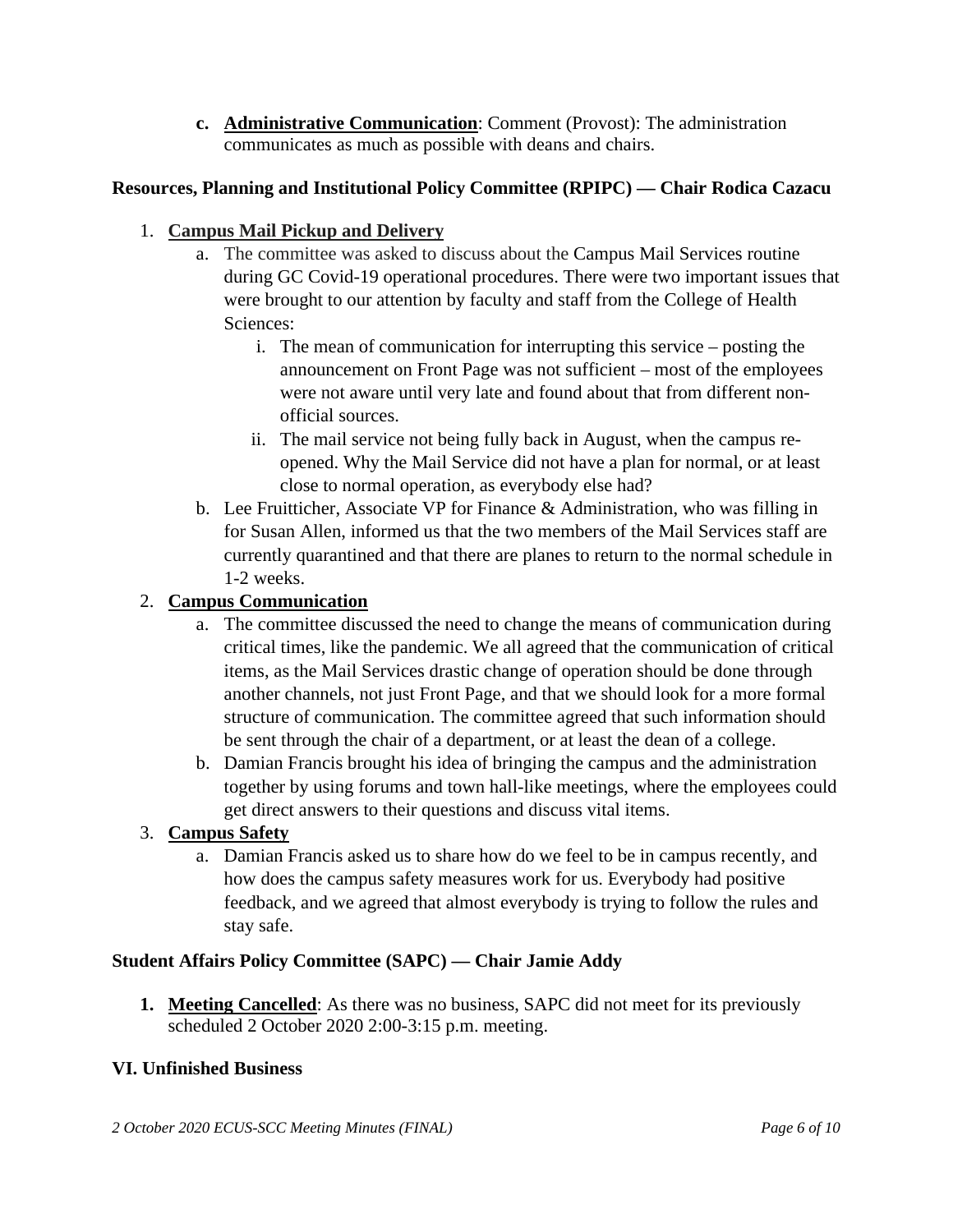**c. Administrative Communication**: Comment (Provost): The administration communicates as much as possible with deans and chairs.

# **Resources, Planning and Institutional Policy Committee (RPIPC) — Chair Rodica Cazacu**

## 1. **Campus Mail Pickup and Delivery**

- a. The committee was asked to discuss about the Campus Mail Services routine during GC Covid-19 operational procedures. There were two important issues that were brought to our attention by faculty and staff from the College of Health Sciences:
	- i. The mean of communication for interrupting this service posting the announcement on Front Page was not sufficient – most of the employees were not aware until very late and found about that from different nonofficial sources.
	- ii. The mail service not being fully back in August, when the campus reopened. Why the Mail Service did not have a plan for normal, or at least close to normal operation, as everybody else had?
- b. Lee Fruitticher, Associate VP for Finance  $\&$  Administration, who was filling in for Susan Allen, informed us that the two members of the Mail Services staff are currently quarantined and that there are planes to return to the normal schedule in 1-2 weeks.

## 2. **Campus Communication**

- a. The committee discussed the need to change the means of communication during critical times, like the pandemic. We all agreed that the communication of critical items, as the Mail Services drastic change of operation should be done through another channels, not just Front Page, and that we should look for a more formal structure of communication. The committee agreed that such information should be sent through the chair of a department, or at least the dean of a college.
- b. Damian Francis brought his idea of bringing the campus and the administration together by using forums and town hall-like meetings, where the employees could get direct answers to their questions and discuss vital items.

## 3. **Campus Safety**

a. Damian Francis asked us to share how do we feel to be in campus recently, and how does the campus safety measures work for us. Everybody had positive feedback, and we agreed that almost everybody is trying to follow the rules and stay safe.

## **Student Affairs Policy Committee (SAPC) — Chair Jamie Addy**

**1. Meeting Cancelled**: As there was no business, SAPC did not meet for its previously scheduled 2 October 2020 2:00-3:15 p.m. meeting.

## **VI. Unfinished Business**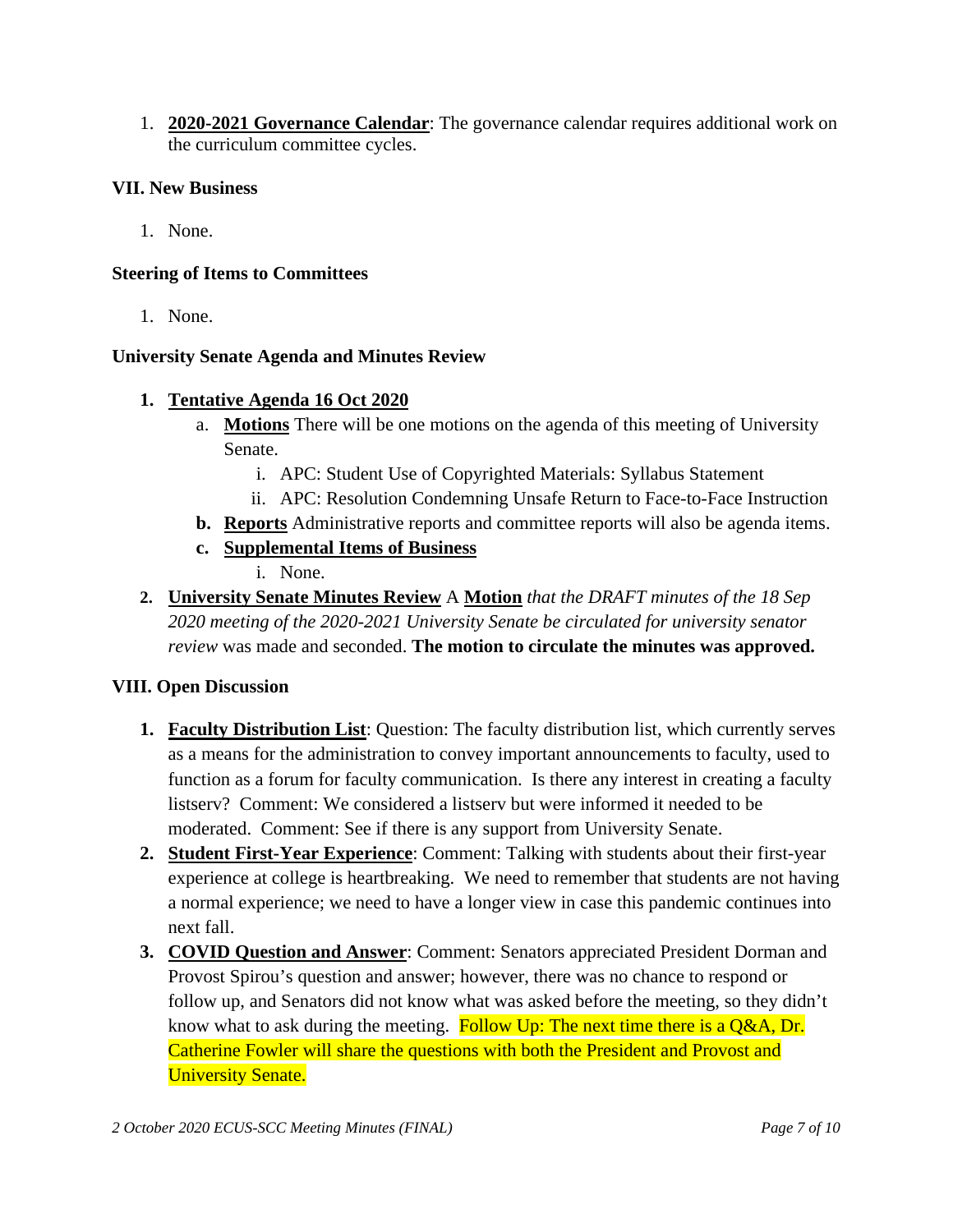1. **2020-2021 Governance Calendar**: The governance calendar requires additional work on the curriculum committee cycles.

#### **VII. New Business**

1. None.

#### **Steering of Items to Committees**

1. None.

#### **University Senate Agenda and Minutes Review**

- **1. Tentative Agenda 16 Oct 2020**
	- a. **Motions** There will be one motions on the agenda of this meeting of University Senate.
		- i. APC: Student Use of Copyrighted Materials: Syllabus Statement
		- ii. APC: Resolution Condemning Unsafe Return to Face-to-Face Instruction
	- **b. Reports** Administrative reports and committee reports will also be agenda items.
	- **c. Supplemental Items of Business**
		- i. None.
- **2. University Senate Minutes Review** A **Motion** *that the DRAFT minutes of the 18 Sep 2020 meeting of the 2020-2021 University Senate be circulated for university senator review* was made and seconded. **The motion to circulate the minutes was approved.**

#### **VIII. Open Discussion**

- **1. Faculty Distribution List**: Question: The faculty distribution list, which currently serves as a means for the administration to convey important announcements to faculty, used to function as a forum for faculty communication. Is there any interest in creating a faculty listserv? Comment: We considered a listserv but were informed it needed to be moderated. Comment: See if there is any support from University Senate.
- **2. Student First-Year Experience**: Comment: Talking with students about their first-year experience at college is heartbreaking. We need to remember that students are not having a normal experience; we need to have a longer view in case this pandemic continues into next fall.
- **3. COVID Question and Answer**: Comment: Senators appreciated President Dorman and Provost Spirou's question and answer; however, there was no chance to respond or follow up, and Senators did not know what was asked before the meeting, so they didn't know what to ask during the meeting. Follow Up: The next time there is a Q&A, Dr. Catherine Fowler will share the questions with both the President and Provost and **University Senate.**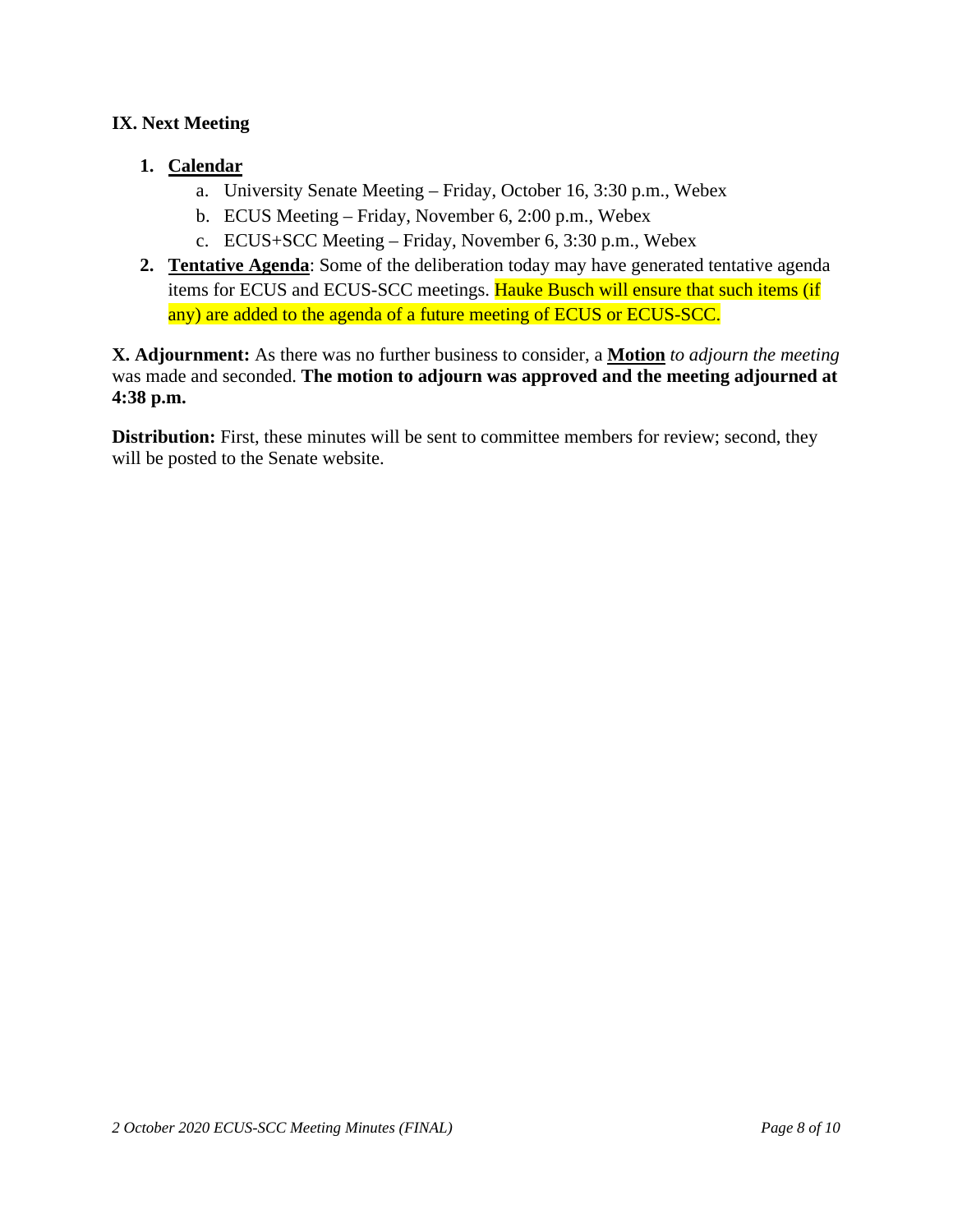## **IX. Next Meeting**

## **1. Calendar**

- a. University Senate Meeting Friday, October 16, 3:30 p.m., Webex
- b. ECUS Meeting Friday, November 6, 2:00 p.m., Webex
- c. ECUS+SCC Meeting Friday, November 6, 3:30 p.m., Webex
- **2. Tentative Agenda**: Some of the deliberation today may have generated tentative agenda items for ECUS and ECUS-SCC meetings. Hauke Busch will ensure that such items (if any) are added to the agenda of a future meeting of ECUS or ECUS-SCC.

**X. Adjournment:** As there was no further business to consider, a **Motion** *to adjourn the meeting* was made and seconded. **The motion to adjourn was approved and the meeting adjourned at 4:38 p.m.**

**Distribution:** First, these minutes will be sent to committee members for review; second, they will be posted to the Senate website.